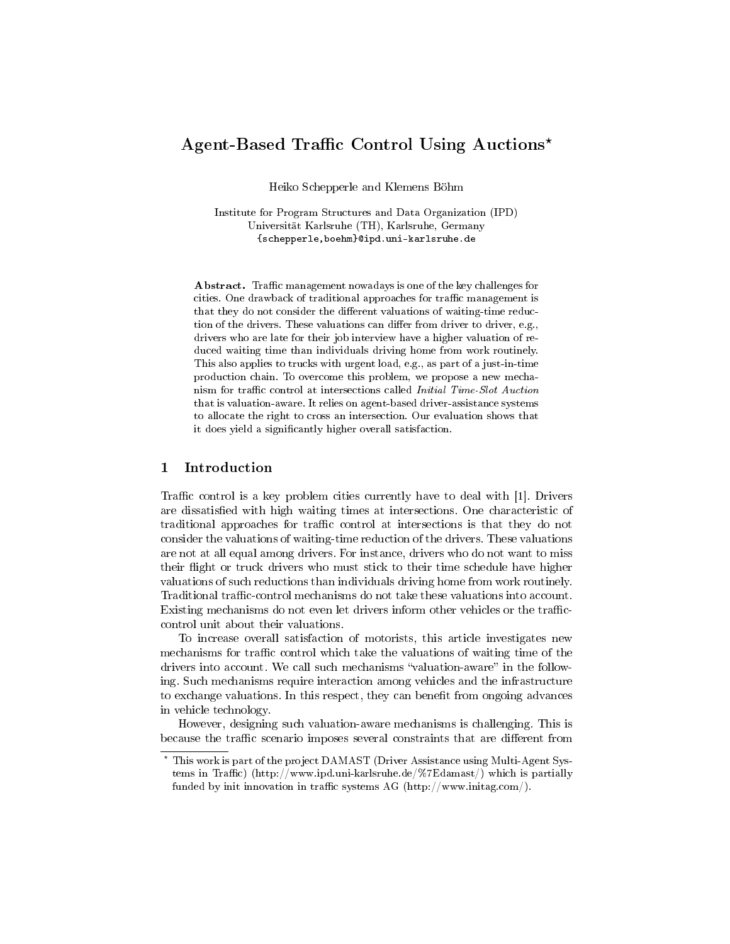# Agent-Based Traffic Control Using Auctions\*

Heiko Schepperle and Klemens Böhm

Institute for Program Structures and Data Organization (IPD) Universität Karlsruhe (TH), Karlsruhe, Germany {schepperle,boehm}@ipd.uni-karlsruhe.de

Abstract. Traffic management nowadays is one of the key challenges for cities. One drawback of traditional approaches for traffic management is that they do not consider the different valuations of waiting-time reduction of the drivers. These valuations can differ from driver to driver, e.g., drivers who are late for their job interview have a higher valuation of reduced waiting time than individuals driving home from work routinely. This also applies to trucks with urgent load, e.g., as part of a just-in-time production chain. To overcome this problem, we propose a new mechanism for traffic control at intersections called Initial Time-Slot Auction that is valuation-aware. It relies on agent-based driver-assistance systems to allocate the right to cross an intersection. Our evaluation shows that it does yield a signicantly higher overall satisfaction.

#### 1 Introduction

Traffic control is a key problem cities currently have to deal with [1]. Drivers are dissatisfied with high waiting times at intersections. One characteristic of traditional approaches for traffic control at intersections is that they do not consider the valuations of waiting-time reduction of the drivers. These valuations are not at all equal among drivers. For instance, drivers who do not want to miss their flight or truck drivers who must stick to their time schedule have higher valuations of such reductions than individuals driving home from work routinely. Traditional traffic-control mechanisms do not take these valuations into account. Existing mechanisms do not even let drivers inform other vehicles or the trafficcontrol unit about their valuations.

To increase overall satisfaction of motorists, this article investigates new mechanisms for traffic control which take the valuations of waiting time of the drivers into account. We call such mechanisms "valuation-aware" in the following. Such mechanisms require interaction among vehicles and the infrastructure to exchange valuations. In this respect, they can benefit from ongoing advances in vehicle technology.

However, designing such valuation-aware mechanisms is challenging. This is because the traffic scenario imposes several constraints that are different from

 $^\star$  This work is part of the project DAMAST (Driver Assistance using Multi-Agent Systems in Traffic) (http://www.ipd.uni-karlsruhe.de/%7Edamast/) which is partially funded by init innovation in traffic systems AG ( $\frac{http://www.initag.com/}{http://www.initag.com/}{$ ).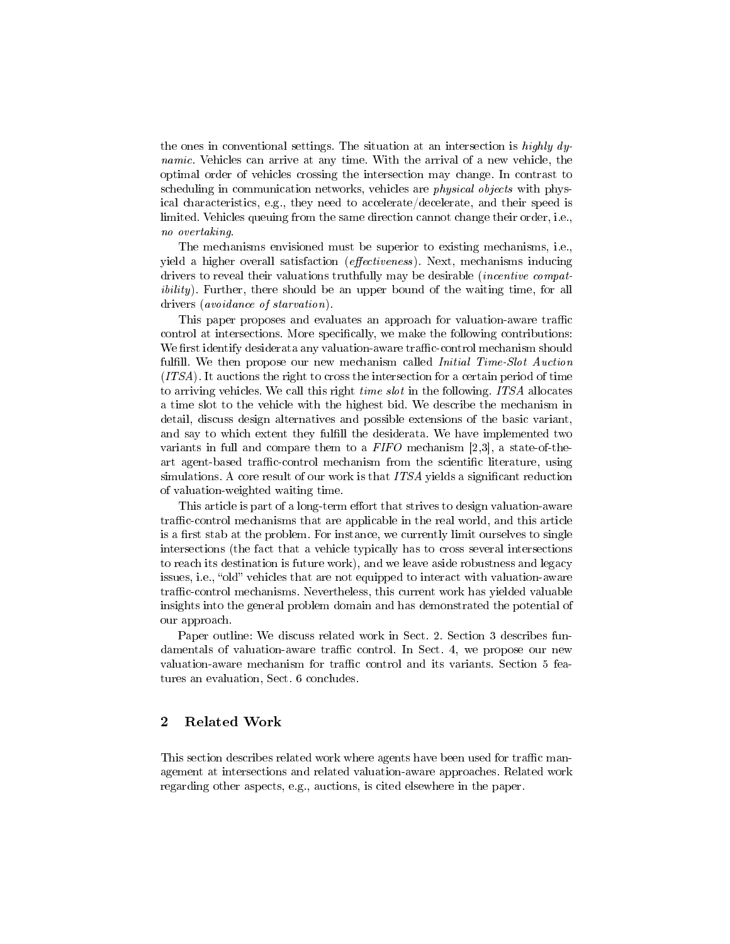the ones in conventional settings. The situation at an intersection is highly dynamic. Vehicles can arrive at any time. With the arrival of a new vehicle, the optimal order of vehicles crossing the intersection may change. In contrast to scheduling in communication networks, vehicles are *physical objects* with physical characteristics, e.g., they need to accelerate/decelerate, and their speed is limited. Vehicles queuing from the same direction cannot change their order, i.e., no overtaking.

The mechanisms envisioned must be superior to existing mechanisms, i.e., yield a higher overall satisfaction (effectiveness). Next, mechanisms inducing drivers to reveal their valuations truthfully may be desirable (*incentive compatibility*). Further, there should be an upper bound of the waiting time, for all drivers (avoidance of starvation).

This paper proposes and evaluates an approach for valuation-aware traffic control at intersections. More specifically, we make the following contributions: We first identify desiderata any valuation-aware traffic-control mechanism should fulfill. We then propose our new mechanism called *Initial Time-Slot Auction* (ITSA). It auctions the right to cross the intersection for a certain period of time to arriving vehicles. We call this right *time slot* in the following. ITSA allocates a time slot to the vehicle with the highest bid. We describe the mechanism in detail, discuss design alternatives and possible extensions of the basic variant, and say to which extent they fulll the desiderata. We have implemented two variants in full and compare them to a  $FIFO$  mechanism [2,3], a state-of-theart agent-based traffic-control mechanism from the scientific literature, using simulations. A core result of our work is that  $ITSA$  yields a significant reduction of valuation-weighted waiting time.

This article is part of a long-term effort that strives to design valuation-aware traffic-control mechanisms that are applicable in the real world, and this article is a first stab at the problem. For instance, we currently limit ourselves to single intersections (the fact that a vehicle typically has to cross several intersections to reach its destination is future work), and we leave aside robustness and legacy issues, i.e., "old" vehicles that are not equipped to interact with valuation-aware traffic-control mechanisms. Nevertheless, this current work has yielded valuable insights into the general problem domain and has demonstrated the potential of our approach.

Paper outline: We discuss related work in Sect. 2. Section 3 describes fundamentals of valuation-aware traffic control. In Sect. 4, we propose our new valuation-aware mechanism for traffic control and its variants. Section 5 features an evaluation, Sect. 6 concludes.

# 2 Related Work

This section describes related work where agents have been used for traffic management at intersections and related valuation-aware approaches. Related work regarding other aspects, e.g., auctions, is cited elsewhere in the paper.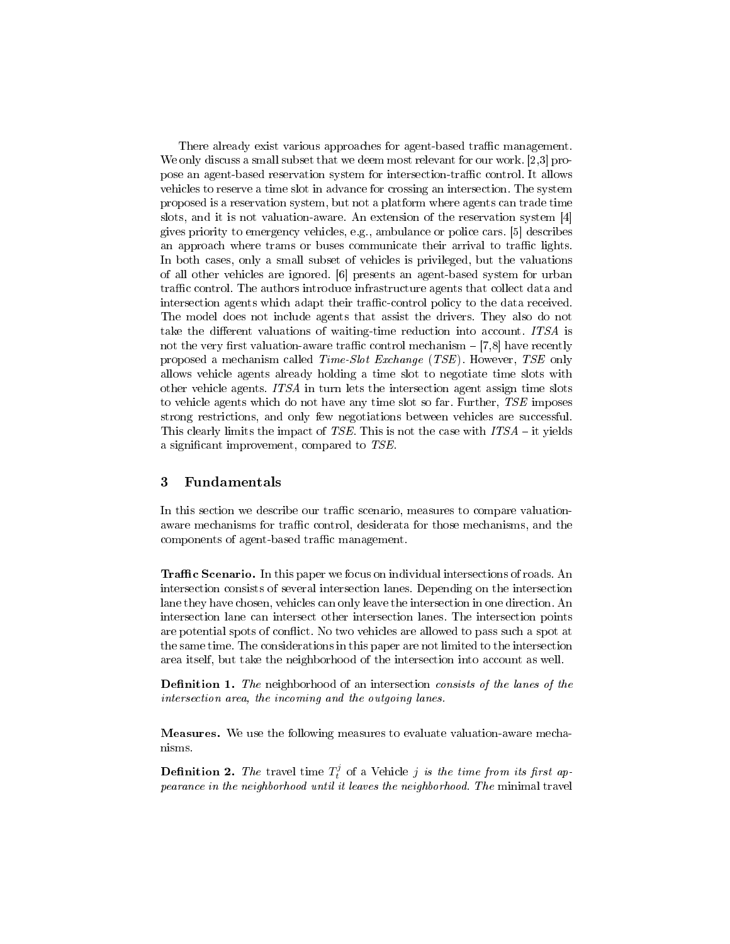There already exist various approaches for agent-based traffic management. We only discuss a small subset that we deem most relevant for our work. [2,3] propose an agent-based reservation system for intersection-traffic control. It allows vehicles to reserve a time slot in advance for crossing an intersection. The system proposed is a reservation system, but not a platform where agents can trade time slots, and it is not valuation-aware. An extension of the reservation system [4] gives priority to emergency vehicles, e.g., ambulance or police cars. [5] describes an approach where trams or buses communicate their arrival to traffic lights. In both cases, only a small subset of vehicles is privileged, but the valuations of all other vehicles are ignored. [6] presents an agent-based system for urban traffic control. The authors introduce infrastructure agents that collect data and intersection agents which adapt their traffic-control policy to the data received. The model does not include agents that assist the drivers. They also do not take the different valuations of waiting-time reduction into account. ITSA is not the very first valuation-aware traffic control mechanism  $-[7,8]$  have recently proposed a mechanism called Time-Slot Exchange (TSE). However, TSE only allows vehicle agents already holding a time slot to negotiate time slots with other vehicle agents. ITSA in turn lets the intersection agent assign time slots to vehicle agents which do not have any time slot so far. Further, TSE imposes strong restrictions, and only few negotiations between vehicles are successful. This clearly limits the impact of TSE. This is not the case with  $ITSA$  - it yields a signicant improvement, compared to TSE.

# 3 Fundamentals

In this section we describe our traffic scenario, measures to compare valuationaware mechanisms for traffic control, desiderata for those mechanisms, and the components of agent-based traffic management.

**Traffic Scenario.** In this paper we focus on individual intersections of roads. An intersection consists of several intersection lanes. Depending on the intersection lane they have chosen, vehicles can only leave the intersection in one direction. An intersection lane can intersect other intersection lanes. The intersection points are potential spots of conflict. No two vehicles are allowed to pass such a spot at the same time. The considerations in this paper are not limited to the intersection area itself, but take the neighborhood of the intersection into account as well.

**Definition 1.** The neighborhood of an intersection consists of the lanes of the intersection area, the incoming and the outgoing lanes.

Measures. We use the following measures to evaluate valuation-aware mechanisms.

**Definition 2.** The travel time  $T_t^j$  of a Vehicle j is the time from its first appearance in the neighborhood until it leaves the neighborhood. The minimal travel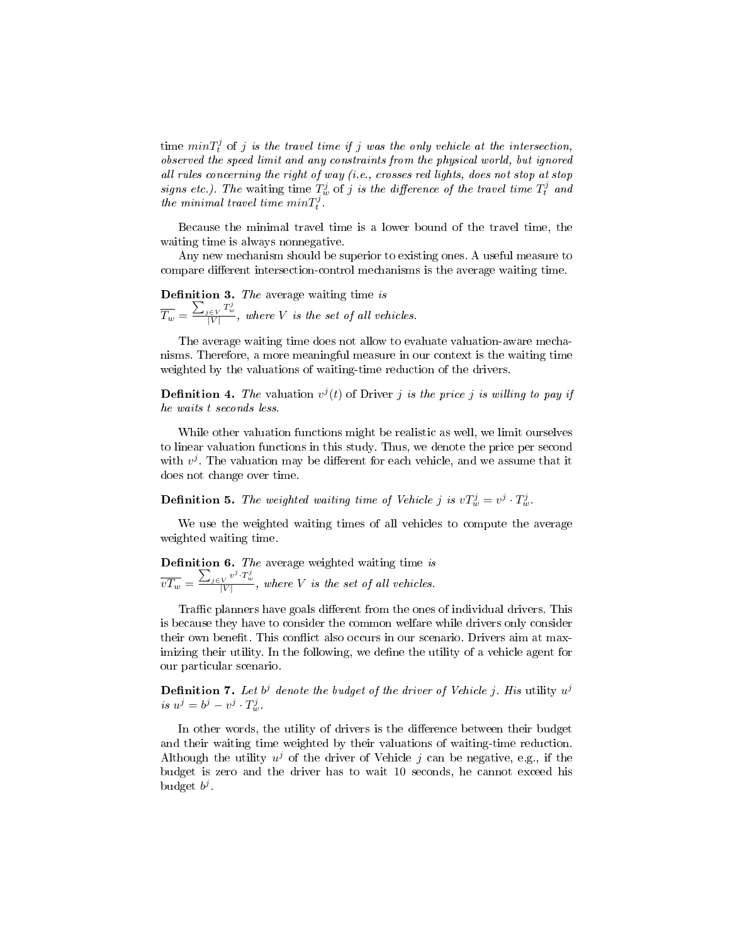time  $minT_t^j$  of j is the travel time if j was the only vehicle at the intersection, observed the speed limit and any constraints from the physical world, but ignored all rules concerning the right of way (i.e., crosses red lights, does not stop at stop signs etc.). The waiting time  $T_w^j$  of j is the difference of the travel time  $T_t^j$  and the minimal travel time  $minT_t^j$ .

Because the minimal travel time is a lower bound of the travel time, the waiting time is always nonnegative.

Any new mechanism should be superior to existing ones. A useful measure to compare different intersection-control mechanisms is the average waiting time.

**Definition 3.** The average waiting time is  $\overline{T_w} = \frac{\sum_{j \in V} T_w^j}{|V|}$ , where V is the set of all vehicles.

The average waiting time does not allow to evaluate valuation-aware mechanisms. Therefore, a more meaningful measure in our context is the waiting time weighted by the valuations of waiting-time reduction of the drivers.

**Definition 4.** The valuation  $v^{j}(t)$  of Driver j is the price j is willing to pay if he waits t seconds less.

While other valuation functions might be realistic as well, we limit ourselves to linear valuation functions in this study. Thus, we denote the price per second with  $v^j$ . The valuation may be different for each vehicle, and we assume that it does not change over time.

**Definition 5.** The weighted waiting time of Vehicle j is  $vT_w^j = v^j \cdot T_w^j$ .

We use the weighted waiting times of all vehicles to compute the average weighted waiting time.

**Definition 6.** The average weighted waiting time is  $\overline{vT_w} = \frac{\sum_{j \in V} v^j \cdot T_w^j}{|V|}$ , where V is the set of all vehicles.

Traffic planners have goals different from the ones of individual drivers. This is because they have to consider the common welfare while drivers only consider their own benefit. This conflict also occurs in our scenario. Drivers aim at maximizing their utility. In the following, we define the utility of a vehicle agent for our particular scenario.

**Definition 7.** Let  $b^j$  denote the budget of the driver of Vehicle j. His utility  $u^j$ is  $u^j = b^j - v^j \cdot T_w^j$ .

In other words, the utility of drivers is the difference between their budget and their waiting time weighted by their valuations of waiting-time reduction. Although the utility  $u^j$  of the driver of Vehicle j can be negative, e.g., if the budget is zero and the driver has to wait 10 seconds, he cannot exceed his budget  $b^j$ .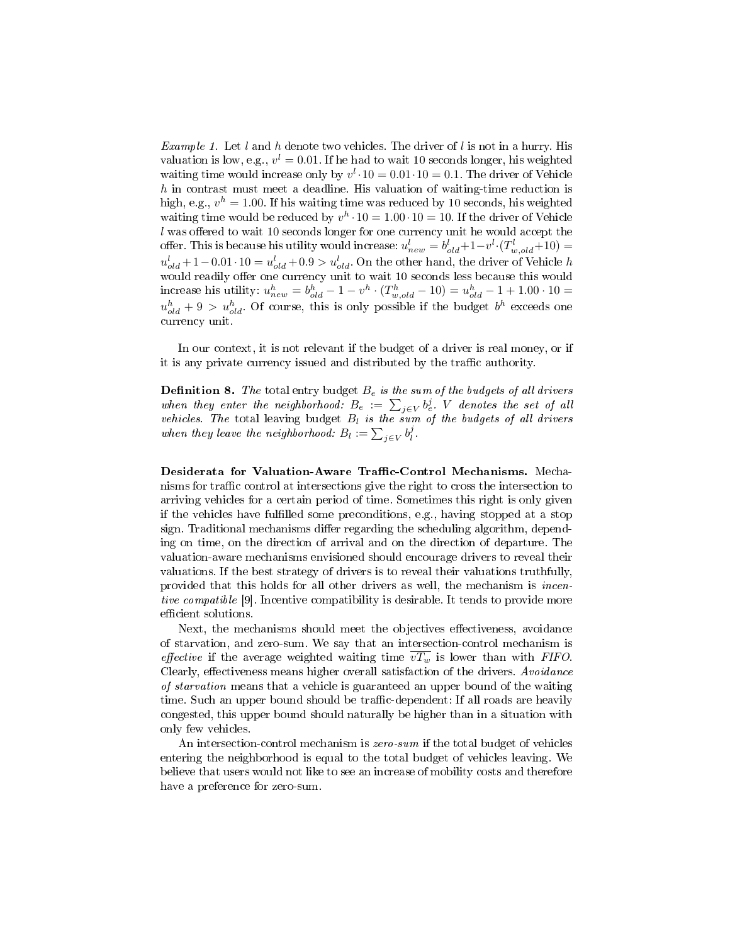Example 1. Let  $l$  and  $h$  denote two vehicles. The driver of  $l$  is not in a hurry. His valuation is low, e.g.,  $v^l = 0.01$ . If he had to wait 10 seconds longer, his weighted waiting time would increase only by  $v^l \cdot 10 = 0.01 \cdot 10 = 0.1$ . The driver of Vehicle  $h$  in contrast must meet a deadline. His valuation of waiting-time reduction is high, e.g.,  $v^h = 1.00$ . If his waiting time was reduced by 10 seconds, his weighted waiting time would be reduced by  $v^h \cdot 10 = 1.00 \cdot 10 = 10$ . If the driver of Vehicle  $l$  was offered to wait 10 seconds longer for one currency unit he would accept the offer. This is because his utility would increase:  $u^l_{new} = b^l_{old} + 1 - v^l \cdot (T^l_{w,old} + 10) =$  $u_{old}^l$ +1−0.01⋅10 =  $u_{old}^l$ +0.9 >  $u_{old}^l$ . On the other hand, the driver of Vehicle h would readily offer one currency unit to wait 10 seconds less because this would increase his utility:  $u_{new}^h = b_{old}^h - 1 - v^h \cdot (T_{w,old}^h - 10) = u_{old}^h - 1 + 1.00 \cdot 10 =$  $u_{old}^h + 9 > u_{old}^h$ . Of course, this is only possible if the budget  $b^h$  exceeds one currency unit.

In our context, it is not relevant if the budget of a driver is real money, or if it is any private currency issued and distributed by the traffic authority.

**Definition 8.** The total entry budget  $B_e$  is the sum of the budgets of all drivers when they enter the neighborhood:  $B_e$  :=  $\sum_{j\in V}b_e^j$ . V denotes the set of all vehicles. The total leaving budget  $B_l$  is the sum of the budgets of all drivers when they leave the neighborhood:  $B_l := \sum_{j \in V} b_l^j$ .

Desiderata for Valuation-Aware Traffic-Control Mechanisms. Mechanisms for traffic control at intersections give the right to cross the intersection to arriving vehicles for a certain period of time. Sometimes this right is only given if the vehicles have fullled some preconditions, e.g., having stopped at a stop sign. Traditional mechanisms differ regarding the scheduling algorithm, depending on time, on the direction of arrival and on the direction of departure. The valuation-aware mechanisms envisioned should encourage drivers to reveal their valuations. If the best strategy of drivers is to reveal their valuations truthfully, provided that this holds for all other drivers as well, the mechanism is incentive compatible [9]. Incentive compatibility is desirable. It tends to provide more efficient solutions.

Next, the mechanisms should meet the objectives effectiveness, avoidance of starvation, and zero-sum. We say that an intersection-control mechanism is effective if the average weighted waiting time  $\overline{vT_w}$  is lower than with FIFO. Clearly, effectiveness means higher overall satisfaction of the drivers. Avoidance of starvation means that a vehicle is guaranteed an upper bound of the waiting time. Such an upper bound should be traffic-dependent: If all roads are heavily congested, this upper bound should naturally be higher than in a situation with only few vehicles.

An intersection-control mechanism is *zero-sum* if the total budget of vehicles entering the neighborhood is equal to the total budget of vehicles leaving. We believe that users would not like to see an increase of mobility costs and therefore have a preference for zero-sum.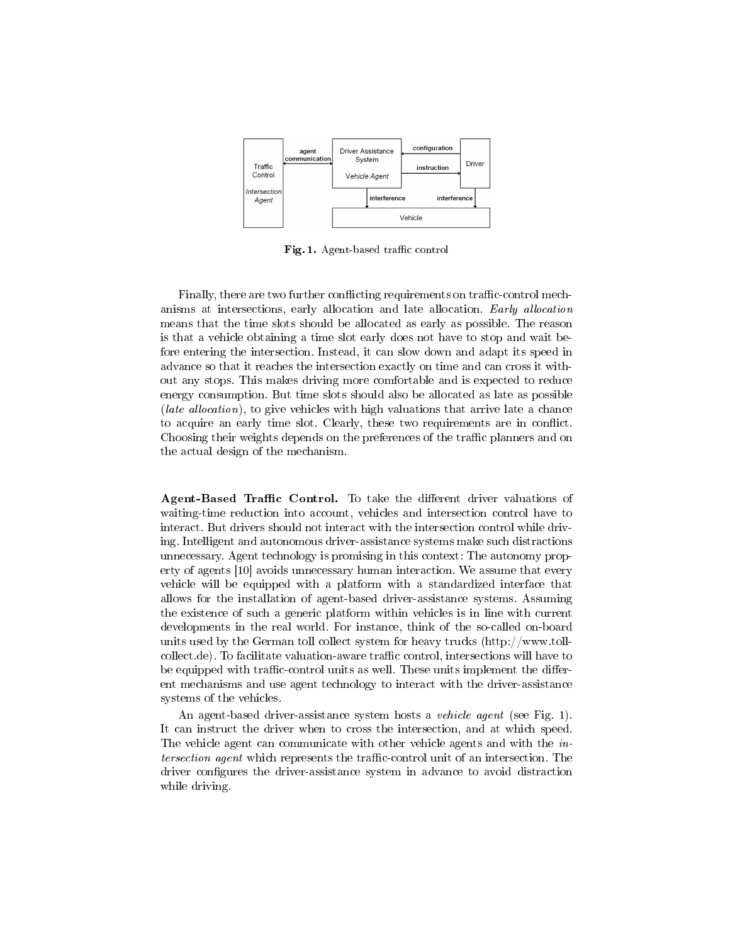

Fig. 1. Agent-based traffic control

Finally, there are two further conflicting requirements on traffic-control mechanisms at intersections, early allocation and late allocation. Early allocation means that the time slots should be allocated as early as possible. The reason is that a vehicle obtaining a time slot early does not have to stop and wait before entering the intersection. Instead, it can slow down and adapt its speed in advance so that it reaches the intersection exactly on time and can cross it without any stops. This makes driving more comfortable and is expected to reduce energy consumption. But time slots should also be allocated as late as possible (late allocation), to give vehicles with high valuations that arrive late a chance to acquire an early time slot. Clearly, these two requirements are in conflict. Choosing their weights depends on the preferences of the traffic planners and on the actual design of the mechanism.

Agent-Based Traffic Control. To take the different driver valuations of waiting-time reduction into account, vehicles and intersection control have to interact. But drivers should not interact with the intersection control while driving. Intelligent and autonomous driver-assistance systems make such distractions unnecessary. Agent technology is promising in this context: The autonomy property of agents [10] avoids unnecessary human interaction. We assume that every vehicle will be equipped with a platform with a standardized interface that allows for the installation of agent-based driver-assistance systems. Assuming the existence of such a generic platform within vehicles is in line with current developments in the real world. For instance, think of the so-called on-board units used by the German toll collect system for heavy trucks (http://www.tollcollect.de). To facilitate valuation-aware traffic control, intersections will have to be equipped with traffic-control units as well. These units implement the different mechanisms and use agent technology to interact with the driver-assistance systems of the vehicles.

An agent-based driver-assistance system hosts a *vehicle agent* (see Fig. 1). It can instruct the driver when to cross the intersection, and at which speed. The vehicle agent can communicate with other vehicle agents and with the intersection agent which represents the traffic-control unit of an intersection. The driver configures the driver-assistance system in advance to avoid distraction while driving.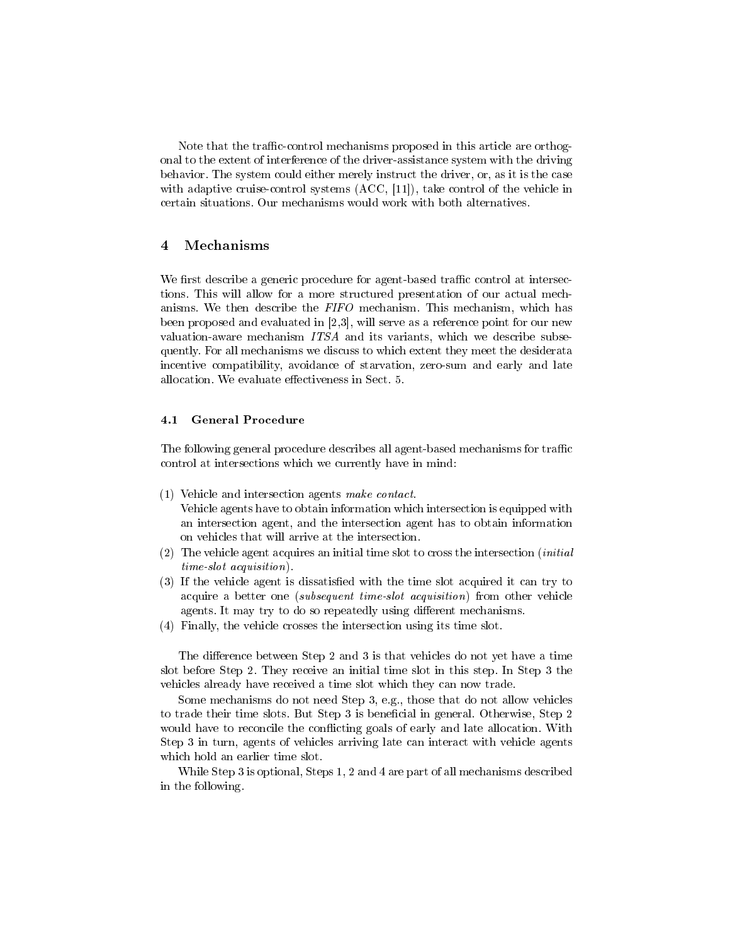Note that the traffic-control mechanisms proposed in this article are orthogonal to the extent of interference of the driver-assistance system with the driving behavior. The system could either merely instruct the driver, or, as it is the case with adaptive cruise-control systems (ACC, [11]), take control of the vehicle in certain situations. Our mechanisms would work with both alternatives.

### 4 Mechanisms

We first describe a generic procedure for agent-based traffic control at intersections. This will allow for a more structured presentation of our actual mechanisms. We then describe the FIFO mechanism. This mechanism, which has been proposed and evaluated in [2,3], will serve as a reference point for our new valuation-aware mechanism ITSA and its variants, which we describe subsequently. For all mechanisms we discuss to which extent they meet the desiderata incentive compatibility, avoidance of starvation, zero-sum and early and late allocation. We evaluate effectiveness in Sect. 5.

## 4.1 General Procedure

The following general procedure describes all agent-based mechanisms for traffic control at intersections which we currently have in mind:

- (1) Vehicle and intersection agents make contact. Vehicle agents have to obtain information which intersection is equipped with an intersection agent, and the intersection agent has to obtain information on vehicles that will arrive at the intersection.
- $(2)$  The vehicle agent acquires an initial time slot to cross the intersection *(initial)* time-slot acquisition).
- (3) If the vehicle agent is dissatised with the time slot acquired it can try to acquire a better one (subsequent time-slot acquisition) from other vehicle agents. It may try to do so repeatedly using different mechanisms.
- (4) Finally, the vehicle crosses the intersection using its time slot.

The difference between Step 2 and 3 is that vehicles do not yet have a time slot before Step 2. They receive an initial time slot in this step. In Step 3 the vehicles already have received a time slot which they can now trade.

Some mechanisms do not need Step 3, e.g., those that do not allow vehicles to trade their time slots. But Step 3 is beneficial in general. Otherwise, Step 2 would have to reconcile the conflicting goals of early and late allocation. With Step 3 in turn, agents of vehicles arriving late can interact with vehicle agents which hold an earlier time slot.

While Step 3 is optional, Steps 1, 2 and 4 are part of all mechanisms described in the following.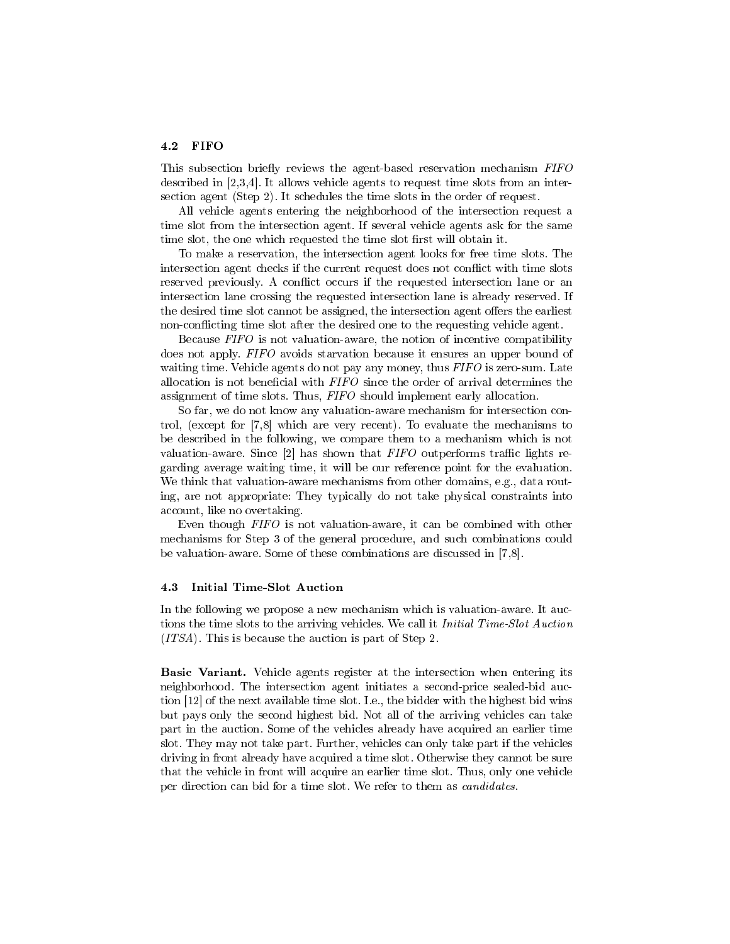#### 4.2 FIFO

This subsection briefly reviews the agent-based reservation mechanism FIFO described in [2,3,4]. It allows vehicle agents to request time slots from an intersection agent (Step 2). It schedules the time slots in the order of request.

All vehicle agents entering the neighborhood of the intersection request a time slot from the intersection agent. If several vehicle agents ask for the same time slot, the one which requested the time slot first will obtain it.

To make a reservation, the intersection agent looks for free time slots. The intersection agent checks if the current request does not conflict with time slots reserved previously. A conflict occurs if the requested intersection lane or an intersection lane crossing the requested intersection lane is already reserved. If the desired time slot cannot be assigned, the intersection agent offers the earliest non-conflicting time slot after the desired one to the requesting vehicle agent.

Because FIFO is not valuation-aware, the notion of incentive compatibility does not apply. FIFO avoids starvation because it ensures an upper bound of waiting time. Vehicle agents do not pay any money, thus FIFO is zero-sum. Late allocation is not beneficial with  $FIFO$  since the order of arrival determines the assignment of time slots. Thus, FIFO should implement early allocation.

So far, we do not know any valuation-aware mechanism for intersection control, (except for [7,8] which are very recent). To evaluate the mechanisms to be described in the following, we compare them to a mechanism which is not valuation-aware. Since  $[2]$  has shown that  $FIFO$  outperforms traffic lights regarding average waiting time, it will be our reference point for the evaluation. We think that valuation-aware mechanisms from other domains, e.g., data routing, are not appropriate: They typically do not take physical constraints into account, like no overtaking.

Even though FIFO is not valuation-aware, it can be combined with other mechanisms for Step 3 of the general procedure, and such combinations could be valuation-aware. Some of these combinations are discussed in [7,8].

#### 4.3 Initial Time-Slot Auction

In the following we propose a new mechanism which is valuation-aware. It auctions the time slots to the arriving vehicles. We call it *Initial Time-Slot Auction* (ITSA). This is because the auction is part of Step 2.

Basic Variant. Vehicle agents register at the intersection when entering its neighborhood. The intersection agent initiates a second-price sealed-bid auction [12] of the next available time slot. I.e., the bidder with the highest bid wins but pays only the second highest bid. Not all of the arriving vehicles can take part in the auction. Some of the vehicles already have acquired an earlier time slot. They may not take part. Further, vehicles can only take part if the vehicles driving in front already have acquired a time slot. Otherwise they cannot be sure that the vehicle in front will acquire an earlier time slot. Thus, only one vehicle per direction can bid for a time slot. We refer to them as candidates.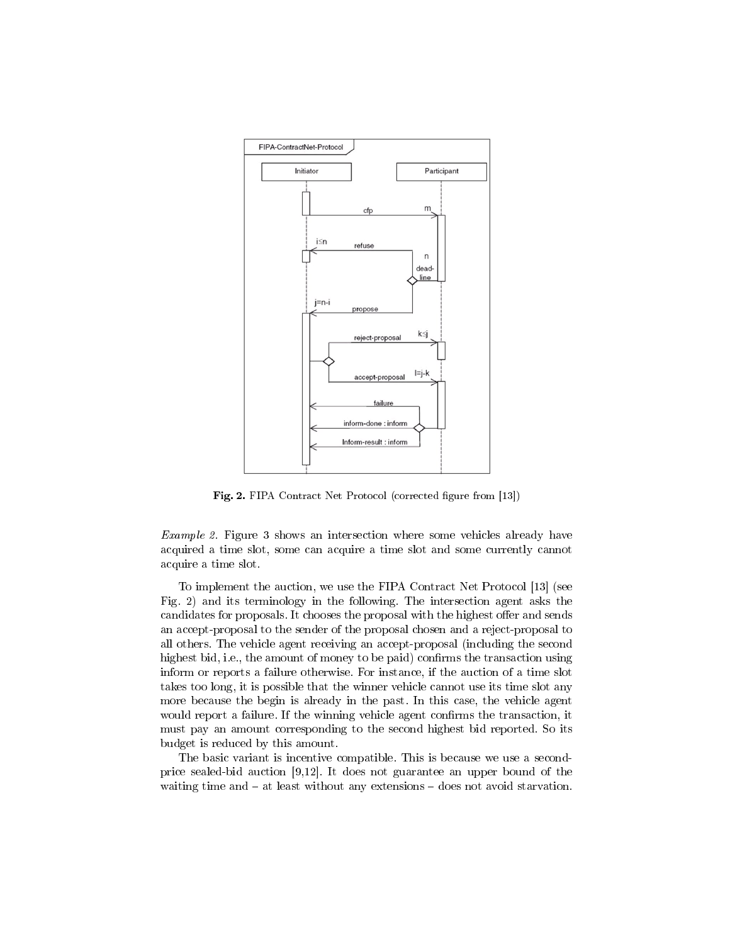

Fig. 2. FIPA Contract Net Protocol (corrected figure from [13])

Example 2. Figure 3 shows an intersection where some vehicles already have acquired a time slot, some can acquire a time slot and some currently cannot acquire a time slot.

To implement the auction, we use the FIPA Contract Net Protocol [13] (see Fig. 2) and its terminology in the following. The intersection agent asks the candidates for proposals. It chooses the proposal with the highest offer and sends an accept-proposal to the sender of the proposal chosen and a reject-proposal to all others. The vehicle agent receiving an accept-proposal (including the second highest bid, i.e., the amount of money to be paid) confirms the transaction using inform or reports a failure otherwise. For instance, if the auction of a time slot takes too long, it is possible that the winner vehicle cannot use its time slot any more because the begin is already in the past. In this case, the vehicle agent would report a failure. If the winning vehicle agent confirms the transaction, it must pay an amount corresponding to the second highest bid reported. So its budget is reduced by this amount.

The basic variant is incentive compatible. This is because we use a secondprice sealed-bid auction [9,12]. It does not guarantee an upper bound of the waiting time and  $-$  at least without any extensions  $-$  does not avoid starvation.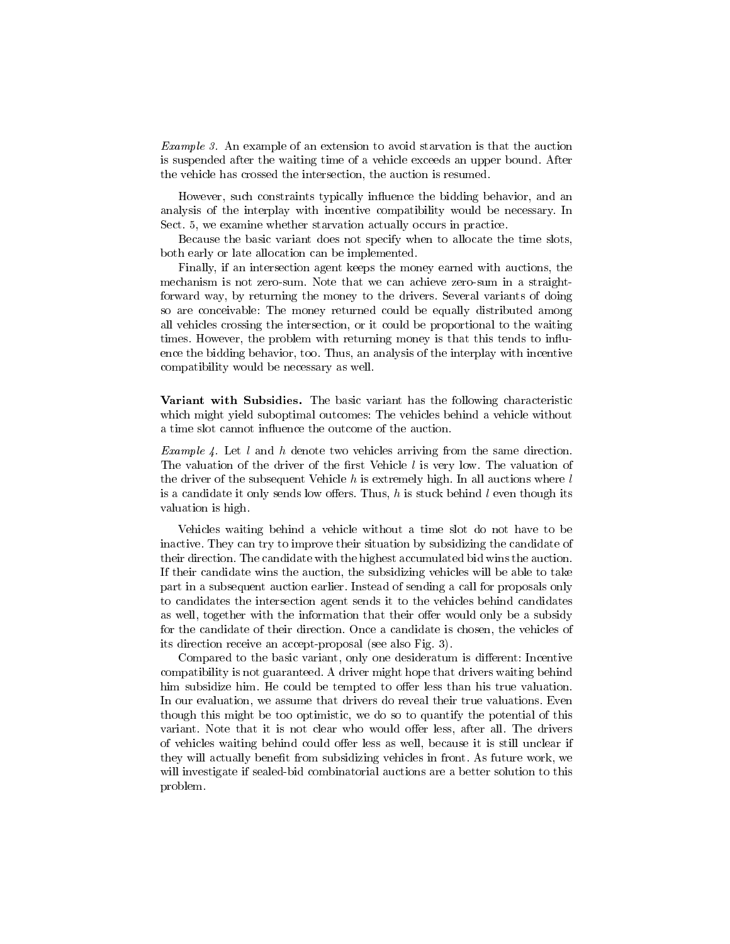Example 3. An example of an extension to avoid starvation is that the auction is suspended after the waiting time of a vehicle exceeds an upper bound. After the vehicle has crossed the intersection, the auction is resumed.

However, such constraints typically influence the bidding behavior, and an analysis of the interplay with incentive compatibility would be necessary. In Sect. 5, we examine whether starvation actually occurs in practice.

Because the basic variant does not specify when to allocate the time slots, both early or late allocation can be implemented.

Finally, if an intersection agent keeps the money earned with auctions, the mechanism is not zero-sum. Note that we can achieve zero-sum in a straightforward way, by returning the money to the drivers. Several variants of doing so are conceivable: The money returned could be equally distributed among all vehicles crossing the intersection, or it could be proportional to the waiting times. However, the problem with returning money is that this tends to influence the bidding behavior, too. Thus, an analysis of the interplay with incentive compatibility would be necessary as well.

Variant with Subsidies. The basic variant has the following characteristic which might yield suboptimal outcomes: The vehicles behind a vehicle without a time slot cannot influence the outcome of the auction.

Example 4. Let l and h denote two vehicles arriving from the same direction. The valuation of the driver of the first Vehicle  $l$  is very low. The valuation of the driver of the subsequent Vehicle  $h$  is extremely high. In all auctions where  $l$ is a candidate it only sends low offers. Thus,  $h$  is stuck behind l even though its valuation is high.

Vehicles waiting behind a vehicle without a time slot do not have to be inactive. They can try to improve their situation by subsidizing the candidate of their direction. The candidate with the highest accumulated bid wins the auction. If their candidate wins the auction, the subsidizing vehicles will be able to take part in a subsequent auction earlier. Instead of sending a call for proposals only to candidates the intersection agent sends it to the vehicles behind candidates as well, together with the information that their offer would only be a subsidy for the candidate of their direction. Once a candidate is chosen, the vehicles of its direction receive an accept-proposal (see also Fig. 3).

Compared to the basic variant, only one desideratum is different: Incentive compatibility is not guaranteed. A driver might hope that drivers waiting behind him subsidize him. He could be tempted to offer less than his true valuation. In our evaluation, we assume that drivers do reveal their true valuations. Even though this might be too optimistic, we do so to quantify the potential of this variant. Note that it is not clear who would offer less, after all. The drivers of vehicles waiting behind could offer less as well, because it is still unclear if they will actually benefit from subsidizing vehicles in front. As future work, we will investigate if sealed-bid combinatorial auctions are a better solution to this problem.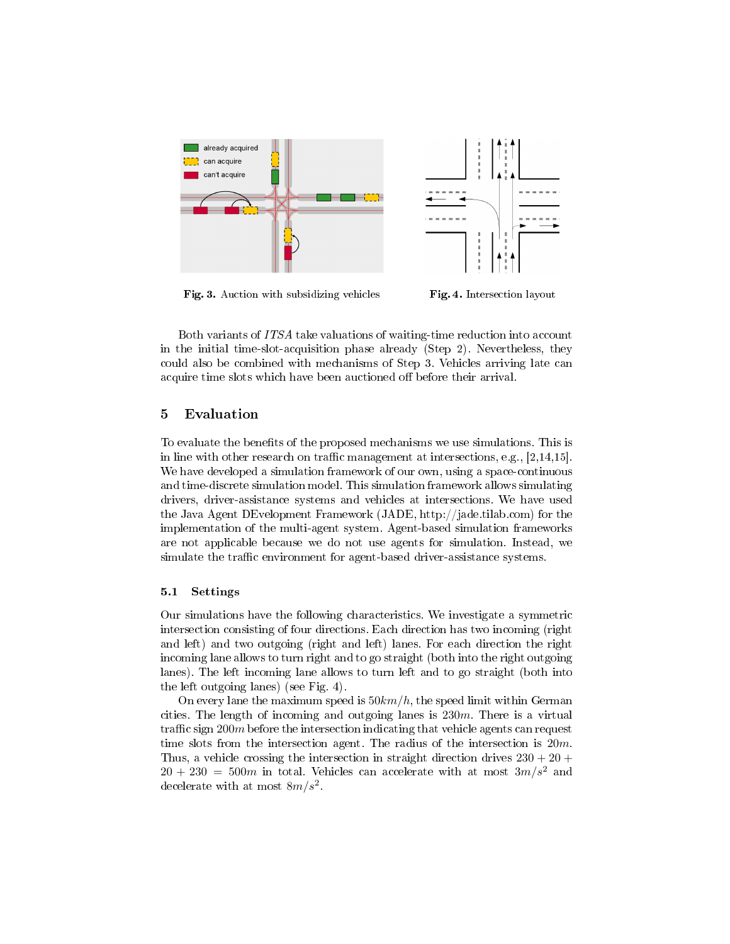

Fig. 3. Auction with subsidizing vehicles Fig. 4. Intersection layout

Both variants of ITSA take valuations of waiting-time reduction into account in the initial time-slot-acquisition phase already (Step 2). Nevertheless, they could also be combined with mechanisms of Step 3. Vehicles arriving late can acquire time slots which have been auctioned off before their arrival.

#### 5 Evaluation

To evaluate the benefits of the proposed mechanisms we use simulations. This is in line with other research on traffic management at intersections, e.g.,  $[2,14,15]$ . We have developed a simulation framework of our own, using a space-continuous and time-discrete simulation model. This simulation framework allows simulating drivers, driver-assistance systems and vehicles at intersections. We have used the Java Agent DEvelopment Framework (JADE, http://jade.tilab.com) for the implementation of the multi-agent system. Agent-based simulation frameworks are not applicable because we do not use agents for simulation. Instead, we simulate the traffic environment for agent-based driver-assistance systems.

#### 5.1 Settings

Our simulations have the following characteristics. We investigate a symmetric intersection consisting of four directions. Each direction has two incoming (right and left) and two outgoing (right and left) lanes. For each direction the right incoming lane allows to turn right and to go straight (both into the right outgoing lanes). The left incoming lane allows to turn left and to go straight (both into the left outgoing lanes) (see Fig. 4).

On every lane the maximum speed is  $50km/h$ , the speed limit within German cities. The length of incoming and outgoing lanes is  $230m$ . There is a virtual traffic sign  $200m$  before the intersection indicating that vehicle agents can request time slots from the intersection agent. The radius of the intersection is  $20m$ . Thus, a vehicle crossing the intersection in straight direction drives  $230 + 20 +$  $20 + 230 = 500m$  in total. Vehicles can accelerate with at most  $3m/s<sup>2</sup>$  and decelerate with at most  $8m/s^2$ .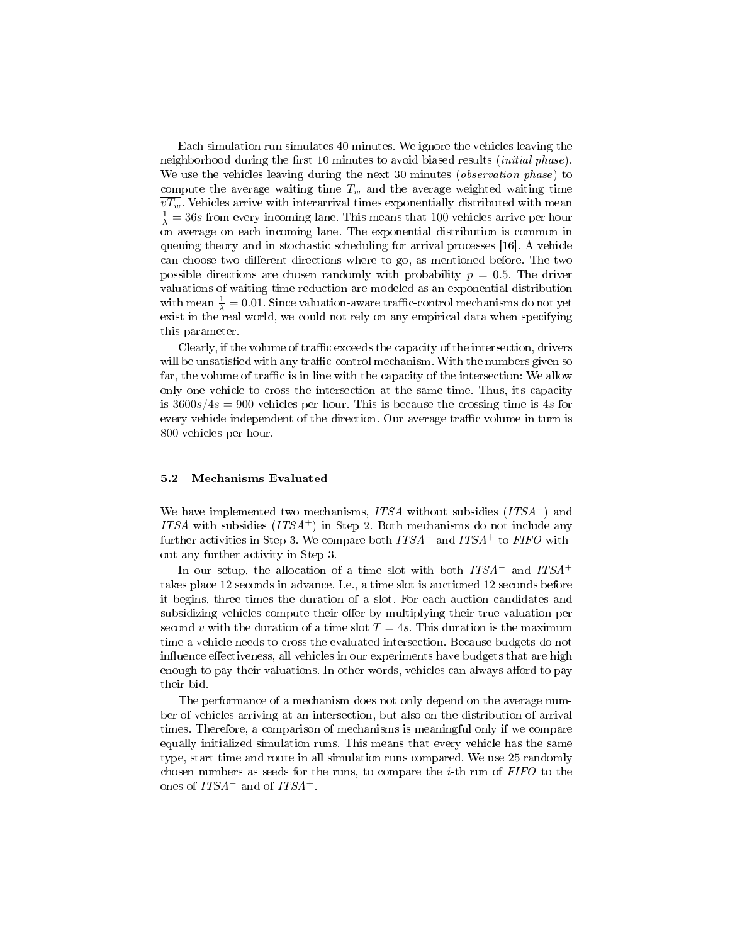Each simulation run simulates 40 minutes. We ignore the vehicles leaving the neighborhood during the first 10 minutes to avoid biased results *(initial phase)*. We use the vehicles leaving during the next 30 minutes (*observation phase*) to compute the average waiting time  $\overline{T_w}$  and the average weighted waiting time  $\overline{vT_w}$ . Vehicles arrive with interarrival times exponentially distributed with mean  $\frac{1}{\lambda} = 36s$  from every incoming lane. This means that 100 vehicles arrive per hour on average on each incoming lane. The exponential distribution is common in queuing theory and in stochastic scheduling for arrival processes [16]. A vehicle can choose two different directions where to go, as mentioned before. The two possible directions are chosen randomly with probability  $p = 0.5$ . The driver valuations of waiting-time reduction are modeled as an exponential distribution with mean  $\frac{1}{\lambda} = 0.01$ . Since valuation-aware traffic-control mechanisms do not yet exist in the real world, we could not rely on any empirical data when specifying this parameter.

Clearly, if the volume of traffic exceeds the capacity of the intersection, drivers will be unsatisfied with any traffic-control mechanism. With the numbers given so far, the volume of traffic is in line with the capacity of the intersection: We allow only one vehicle to cross the intersection at the same time. Thus, its capacity is  $3600s/4s = 900$  vehicles per hour. This is because the crossing time is 4s for every vehicle independent of the direction. Our average traffic volume in turn is 800 vehicles per hour.

#### 5.2 Mechanisms Evaluated

We have implemented two mechanisms, ITSA without subsidies  $(ITSA^{-})$  and ITSA with subsidies  $(ITSA^+)$  in Step 2. Both mechanisms do not include any further activities in Step 3. We compare both  $ITSA^-$  and  $ITSA^+$  to  $FIFO$  without any further activity in Step 3.

In our setup, the allocation of a time slot with both ITSA<sup>−</sup> and ITSA<sup>+</sup> takes place 12 seconds in advance. I.e., a time slot is auctioned 12 seconds before it begins, three times the duration of a slot. For each auction candidates and subsidizing vehicles compute their offer by multiplying their true valuation per second v with the duration of a time slot  $T = 4s$ . This duration is the maximum time a vehicle needs to cross the evaluated intersection. Because budgets do not influence effectiveness, all vehicles in our experiments have budgets that are high enough to pay their valuations. In other words, vehicles can always afford to pay their bid.

The performance of a mechanism does not only depend on the average number of vehicles arriving at an intersection, but also on the distribution of arrival times. Therefore, a comparison of mechanisms is meaningful only if we compare equally initialized simulation runs. This means that every vehicle has the same type, start time and route in all simulation runs compared. We use 25 randomly chosen numbers as seeds for the runs, to compare the  $i$ -th run of  $FIFO$  to the ones of ITSA<sup>−</sup> and of ITSA<sup>+</sup>.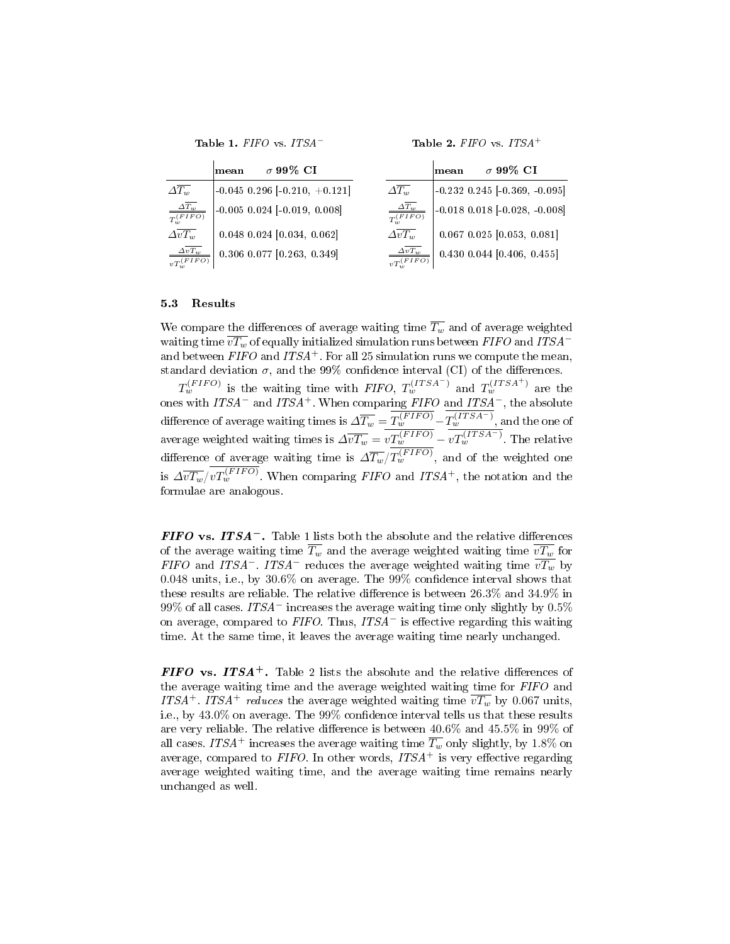#### Table 1. FIFO vs. ITSA<sup>-</sup>

Table 2. FIFO vs. ITSA<sup>+</sup>

|                                                             | $\sigma$ 99% CI<br>mean             |                                                             | $\sigma$ 99% CI<br>mean             |
|-------------------------------------------------------------|-------------------------------------|-------------------------------------------------------------|-------------------------------------|
| $\Delta T_w$                                                | $-0.045$ 0.296 [ $-0.210, +0.121$ ] | $\Delta T_w$                                                | $-0.232$ 0.245 $[-0.369, -0.095]$   |
| $\frac{\Delta \overline{T_w}}{T_w^{(FIFO)}}$                | $-0.005$ $0.024$ $[-0.019, 0.008]$  | $\frac{\Delta \overline{T_w}}{T_w^{(FIFO)}}$                | $-0.018$ $0.018$ $[-0.028, -0.008]$ |
| $\Delta v T_w$                                              | $0.048$ $0.024$ [0.034, 0.062]      | $\Delta v T_w$                                              | $0.0670.025$ [0.053, 0.081]         |
| $\frac{\Delta \overline{v_{w}}}{\overline{v_{w}}^{(FIFO)}}$ | $0.306$ $0.077$ [0.263, 0.349]      | $\frac{\Delta \overline{v_{w}}}{\overline{v_{w}^{(FIFO)}}}$ | $0.43000.044$ [0.406, 0.455]        |

#### 5.3 Results

We compare the differences of average waiting time  $\overline{T_w}$  and of average weighted waiting time  $\overline{vT_w}$  of equally initialized simulation runs between FIFO and ITSA<sup>-</sup> and between  $FIFO$  and  $ITSA^{+}$ . For all 25 simulation runs we compute the mean, standard deviation  $\sigma$ , and the 99% confidence interval (CI) of the differences.

 $T_w^{(FIFO)}$  is the waiting time with FIFO,  $T_w^{(ITSA^{-})}$  and  $T_w^{(ITSA^{+})}$  are the ones with  $ITSA^-$  and  $ITSA^+$ . When comparing  $FIFO$  and  $ITSA^-$ , the absolute difference of average waiting times is  $\varDelta \overline{T_w}=T_w^{(FIFO)}\!-\!T_w^{(ITSA^-)},$  and the one of average weighted waiting times is  $\varDelta \overline{v T_w} = v T_w^{(FFO)} - v T_w^{(ITSA^-)}$  . The relative difference of average waiting time is  $\varDelta \overline{T_w}/T_w^{(FIFO)} ,$  and of the weighted one is  $\Delta\overline{vT_w}/vT_w^{(FIFO)}$ . When comparing  $FIFO$  and  $ITSA^+,$  the notation and the formulae are analogous.

**FIFO** vs. ITSA<sup> $-$ </sup>. Table 1 lists both the absolute and the relative differences of the average waiting time  $\overline{T_w}$  and the average weighted waiting time  $\overline{vT_w}$  for FIFO and ITSA<sup>-</sup>. ITSA<sup>-</sup> reduces the average weighted waiting time  $\overline{vT_w}$  by 0.048 units, i.e., by  $30.6\%$  on average. The 99% confidence interval shows that these results are reliable. The relative difference is between  $26.3\%$  and  $34.9\%$  in 99% of all cases. ITSA<sup> $-$ </sup> increases the average waiting time only slightly by 0.5% on average, compared to  $FIFO$ . Thus,  $ITSA<sup>-</sup>$  is effective regarding this waiting time. At the same time, it leaves the average waiting time nearly unchanged.

**FIFO** vs. ITSA<sup>+</sup>. Table 2 lists the absolute and the relative differences of the average waiting time and the average weighted waiting time for FIFO and ITSA<sup>+</sup>. ITSA<sup>+</sup> reduces the average weighted waiting time  $\overline{vT_w}$  by 0.067 units, i.e., by  $43.0\%$  on average. The  $99\%$  confidence interval tells us that these results are very reliable. The relative difference is between  $40.6\%$  and  $45.5\%$  in 99% of all cases. ITSA<sup>+</sup> increases the average waiting time  $\overline{T_w}$  only slightly, by 1.8% on average, compared to  $FIFO.$  In other words,  $ITSA<sup>+</sup>$  is very effective regarding average weighted waiting time, and the average waiting time remains nearly unchanged as well.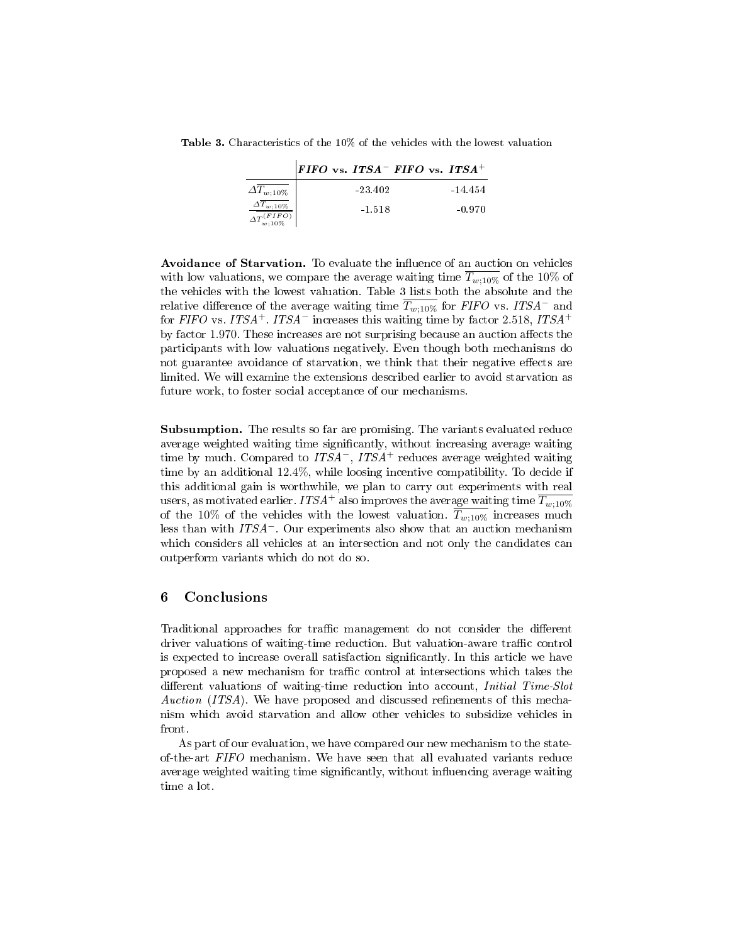Table 3. Characteristics of the 10% of the vehicles with the lowest valuation

|                                                     | $ FIFO\>$ vs. $ITSA^ FIFO\>$ vs. $ITSA^+$ |           |
|-----------------------------------------------------|-------------------------------------------|-----------|
| $\varDelta T_{w;10\%}$                              | $-23.402$                                 | $-14.454$ |
| $\Delta T_{w,10\%}$<br>$\Delta T_{w;10\%}^{(FIFO)}$ | -1.518                                    | -0.970    |
|                                                     |                                           |           |

Avoidance of Starvation. To evaluate the influence of an auction on vehicles with low valuations, we compare the average waiting time  $\overline{T_{w;10\%}}$  of the 10% of the vehicles with the lowest valuation. Table 3 lists both the absolute and the relative difference of the average waiting time  $\overline{T_{w;10\%}}$  for FIFO vs. ITSA<sup>-</sup> and for FIFO vs. ITSA<sup>+</sup>. ITSA<sup>-</sup> increases this waiting time by factor 2.518, ITSA<sup>+</sup> by factor 1.970. These increases are not surprising because an auction affects the participants with low valuations negatively. Even though both mechanisms do not guarantee avoidance of starvation, we think that their negative effects are limited. We will examine the extensions described earlier to avoid starvation as future work, to foster social acceptance of our mechanisms.

Subsumption. The results so far are promising. The variants evaluated reduce average weighted waiting time significantly, without increasing average waiting time by much. Compared to  $ITSA^-$ ,  $ITSA^+$  reduces average weighted waiting time by an additional 12.4%, while loosing incentive compatibility. To decide if this additional gain is worthwhile, we plan to carry out experiments with real users, as motivated earlier. ITSA<sup>+</sup> also improves the average waiting time  $\overline{T_{w;10\%}}$ of the 10% of the vehicles with the lowest valuation.  $\overline{T_{w;10\%}}$  increases much less than with ITSA<sup>−</sup>. Our experiments also show that an auction mechanism which considers all vehicles at an intersection and not only the candidates can outperform variants which do not do so.

#### 6 Conclusions

Traditional approaches for traffic management do not consider the different driver valuations of waiting-time reduction. But valuation-aware traffic control is expected to increase overall satisfaction significantly. In this article we have proposed a new mechanism for traffic control at intersections which takes the different valuations of waiting-time reduction into account, Initial Time-Slot Auction  $(ITSA)$ . We have proposed and discussed refinements of this mechanism which avoid starvation and allow other vehicles to subsidize vehicles in front.

As part of our evaluation, we have compared our new mechanism to the stateof-the-art FIFO mechanism. We have seen that all evaluated variants reduce average weighted waiting time significantly, without influencing average waiting time a lot.